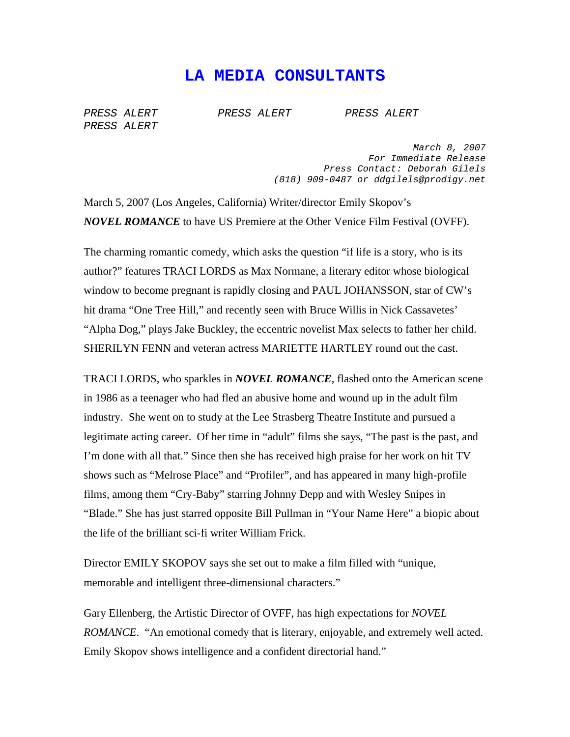## **LA MEDIA CONSULTANTS**

*PRESS ALERT PRESS ALERT PRESS ALERT PRESS ALERT* 

*March 8, 2007 For Immediate Release Press Contact: Deborah Gilels (818) 909-0487 or ddgilels@prodigy.net* 

March 5, 2007 (Los Angeles, California) Writer/director Emily Skopov's *NOVEL ROMANCE* to have US Premiere at the Other Venice Film Festival (OVFF).

The charming romantic comedy, which asks the question "if life is a story, who is its author?" features TRACI LORDS as Max Normane, a literary editor whose biological window to become pregnant is rapidly closing and PAUL JOHANSSON, star of CW's hit drama "One Tree Hill," and recently seen with Bruce Willis in Nick Cassavetes' "Alpha Dog," plays Jake Buckley, the eccentric novelist Max selects to father her child. SHERILYN FENN and veteran actress MARIETTE HARTLEY round out the cast.

TRACI LORDS, who sparkles in *NOVEL ROMANCE*, flashed onto the American scene in 1986 as a teenager who had fled an abusive home and wound up in the adult film industry. She went on to study at the Lee Strasberg Theatre Institute and pursued a legitimate acting career. Of her time in "adult" films she says, "The past is the past, and I'm done with all that." Since then she has received high praise for her work on hit TV shows such as "Melrose Place" and "Profiler", and has appeared in many high-profile films, among them "Cry-Baby" starring Johnny Depp and with Wesley Snipes in "Blade." She has just starred opposite Bill Pullman in "Your Name Here" a biopic about the life of the brilliant sci-fi writer William Frick.

Director EMILY SKOPOV says she set out to make a film filled with "unique, memorable and intelligent three-dimensional characters."

Gary Ellenberg, the Artistic Director of OVFF, has high expectations for *NOVEL ROMANCE*. "An emotional comedy that is literary, enjoyable, and extremely well acted. Emily Skopov shows intelligence and a confident directorial hand."